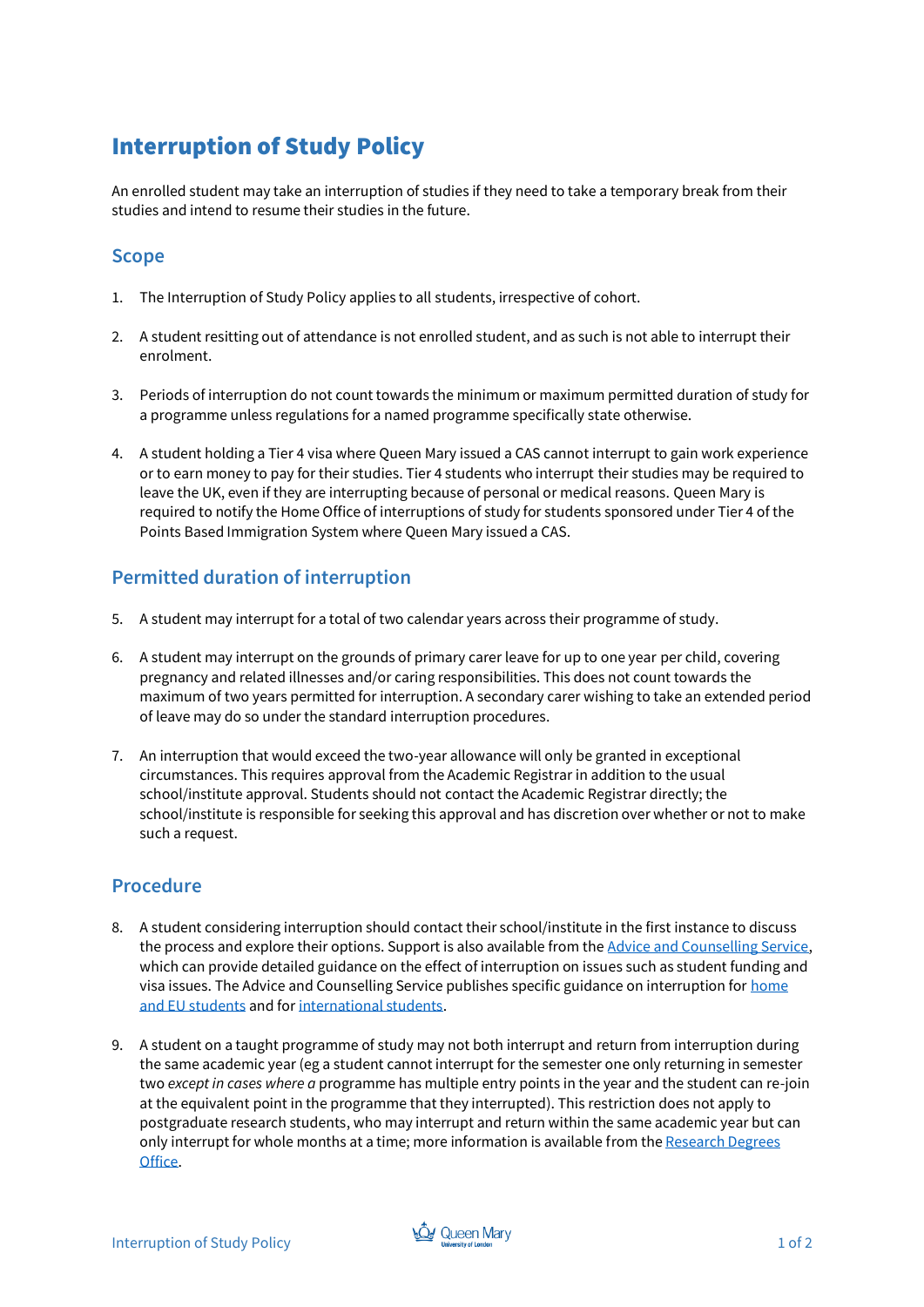# Interruption of Study Policy

An enrolled student may take an interruption of studies if they need to take a temporary break from their studies and intend to resume their studies in the future.

## **Scope**

- 1. The Interruption of Study Policy applies to all students, irrespective of cohort.
- 2. A student resitting out of attendance is not enrolled student, and as such is not able to interrupt their enrolment.
- 3. Periods of interruption do not count towards the minimum or maximum permitted duration of study for a programme unless regulations for a named programme specifically state otherwise.
- 4. A student holding a Tier 4 visa where Queen Mary issued a CAS cannot interrupt to gain work experience or to earn money to pay for their studies. Tier 4 students who interrupt their studies may be required to leave the UK, even if they are interrupting because of personal or medical reasons. Queen Mary is required to notify the Home Office of interruptions of study for students sponsored under Tier 4 of the Points Based Immigration System where Queen Mary issued a CAS.

### **Permitted duration of interruption**

- 5. A student may interrupt for a total of two calendar years across their programme of study.
- 6. A student may interrupt on the grounds of primary carer leave for up to one year per child, covering pregnancy and related illnesses and/or caring responsibilities. This does not count towards the maximum of two years permitted for interruption. A secondary carer wishing to take an extended period of leave may do so under the standard interruption procedures.
- 7. An interruption that would exceed the two-year allowance will only be granted in exceptional circumstances. This requires approval from the Academic Registrar in addition to the usual school/institute approval. Students should not contact the Academic Registrar directly; the school/institute is responsible for seeking this approval and has discretion over whether or not to make such a request.

### **Procedure**

- 8. A student considering interruption should contact their school/institute in the first instance to discuss the process and explore their options. Support is also available from th[e Advice and Counselling Service,](https://www.welfare.qmul.ac.uk/) which can provide detailed guidance on the effect of interruption on issues such as student funding and visa issues. The Advice and Counselling Service publishes specific guidance on interruption fo[r home](https://www.welfare.qmul.ac.uk/guides/resitting-interrupting-or-leaving-your-course-guide-home-and-eu-undergraduates/)  [and EU students](https://www.welfare.qmul.ac.uk/guides/resitting-interrupting-or-leaving-your-course-guide-home-and-eu-undergraduates/) and fo[r international students.](https://www.welfare.qmul.ac.uk/guides/resitting-interrupting-or-leaving-your-course-guide-international-students/)
- 9. A student on a taught programme of study may not both interrupt and return from interruption during the same academic year (eg a student cannot interrupt for the semester one only returning in semester two *except in cases where a* programme has multiple entry points in the year and the student can re-join at the equivalent point in the programme that they interrupted). This restriction does not apply to postgraduate research students, who may interrupt and return within the same academic year but can only interrupt for whole months at a time; more information is available from the Research Degrees [Office.](http://www.arcs.qmul.ac.uk/research-degrees/research-degree-students/interrupt/)